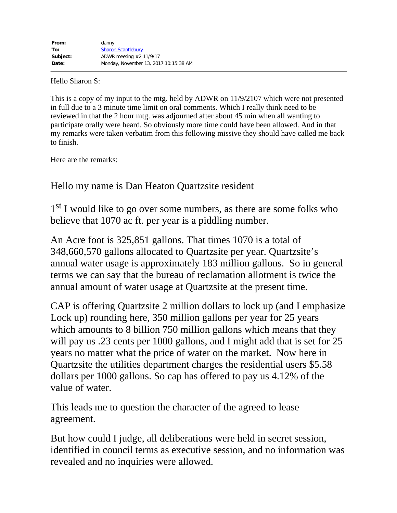Hello Sharon S:

This is a copy of my input to the mtg. held by ADWR on 11/9/2107 which were not presented in full due to a 3 minute time limit on oral comments. Which I really think need to be reviewed in that the 2 hour mtg. was adjourned after about 45 min when all wanting to participate orally were heard. So obviously more time could have been allowed. And in that my remarks were taken verbatim from this following missive they should have called me back to finish.

Here are the remarks:

Hello my name is Dan Heaton Quartzsite resident

1<sup>st</sup> I would like to go over some numbers, as there are some folks who believe that 1070 ac ft. per year is a piddling number.

An Acre foot is 325,851 gallons. That times 1070 is a total of 348,660,570 gallons allocated to Quartzsite per year. Quartzsite's annual water usage is approximately 183 million gallons. So in general terms we can say that the bureau of reclamation allotment is twice the annual amount of water usage at Quartzsite at the present time.

CAP is offering Quartzsite 2 million dollars to lock up (and I emphasize Lock up) rounding here, 350 million gallons per year for 25 years which amounts to 8 billion 750 million gallons which means that they will pay us .23 cents per 1000 gallons, and I might add that is set for 25 years no matter what the price of water on the market. Now here in Quartzsite the utilities department charges the residential users \$5.58 dollars per 1000 gallons. So cap has offered to pay us 4.12% of the value of water.

This leads me to question the character of the agreed to lease agreement.

But how could I judge, all deliberations were held in secret session, identified in council terms as executive session, and no information was revealed and no inquiries were allowed.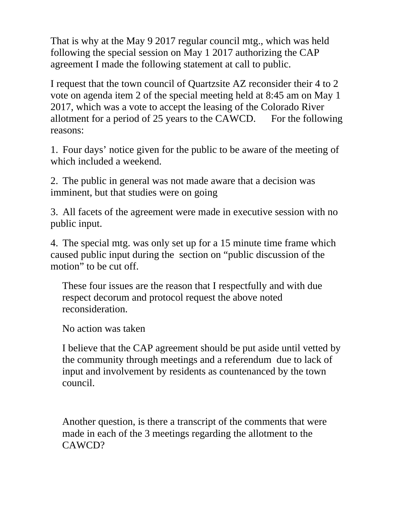That is why at the May 9 2017 regular council mtg., which was held following the special session on May 1 2017 authorizing the CAP agreement I made the following statement at call to public.

I request that the town council of Quartzsite AZ reconsider their 4 to 2 vote on agenda item 2 of the special meeting held at 8:45 am on May 1 2017, which was a vote to accept the leasing of the Colorado River allotment for a period of 25 years to the CAWCD. For the following reasons:

1. Four days' notice given for the public to be aware of the meeting of which included a weekend.

2. The public in general was not made aware that a decision was imminent, but that studies were on going

3. All facets of the agreement were made in executive session with no public input.

4. The special mtg. was only set up for a 15 minute time frame which caused public input during the section on "public discussion of the motion" to be cut off.

These four issues are the reason that I respectfully and with due respect decorum and protocol request the above noted reconsideration.

No action was taken

I believe that the CAP agreement should be put aside until vetted by the community through meetings and a referendum due to lack of input and involvement by residents as countenanced by the town council.

Another question, is there a transcript of the comments that were made in each of the 3 meetings regarding the allotment to the CAWCD?